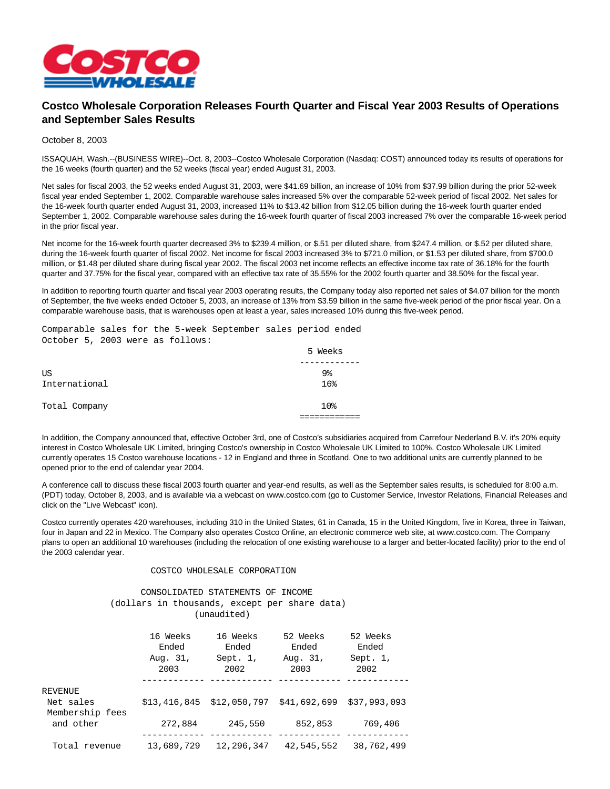

## **Costco Wholesale Corporation Releases Fourth Quarter and Fiscal Year 2003 Results of Operations and September Sales Results**

## October 8, 2003

ISSAQUAH, Wash.--(BUSINESS WIRE)--Oct. 8, 2003--Costco Wholesale Corporation (Nasdaq: COST) announced today its results of operations for the 16 weeks (fourth quarter) and the 52 weeks (fiscal year) ended August 31, 2003.

Net sales for fiscal 2003, the 52 weeks ended August 31, 2003, were \$41.69 billion, an increase of 10% from \$37.99 billion during the prior 52-week fiscal year ended September 1, 2002. Comparable warehouse sales increased 5% over the comparable 52-week period of fiscal 2002. Net sales for the 16-week fourth quarter ended August 31, 2003, increased 11% to \$13.42 billion from \$12.05 billion during the 16-week fourth quarter ended September 1, 2002. Comparable warehouse sales during the 16-week fourth quarter of fiscal 2003 increased 7% over the comparable 16-week period in the prior fiscal year.

Net income for the 16-week fourth quarter decreased 3% to \$239.4 million, or \$.51 per diluted share, from \$247.4 million, or \$.52 per diluted share, during the 16-week fourth quarter of fiscal 2002. Net income for fiscal 2003 increased 3% to \$721.0 million, or \$1.53 per diluted share, from \$700.0 million, or \$1.48 per diluted share during fiscal year 2002. The fiscal 2003 net income reflects an effective income tax rate of 36.18% for the fourth quarter and 37.75% for the fiscal year, compared with an effective tax rate of 35.55% for the 2002 fourth quarter and 38.50% for the fiscal year.

In addition to reporting fourth quarter and fiscal year 2003 operating results, the Company today also reported net sales of \$4.07 billion for the month of September, the five weeks ended October 5, 2003, an increase of 13% from \$3.59 billion in the same five-week period of the prior fiscal year. On a comparable warehouse basis, that is warehouses open at least a year, sales increased 10% during this five-week period.

Comparable sales for the 5-week September sales period ended October 5, 2003 were as follows:

|               | 5 Weeks        |
|---------------|----------------|
|               |                |
| US            | 9 <sub>8</sub> |
| International | 16%            |
| Total Company | 10%            |
|               |                |

In addition, the Company announced that, effective October 3rd, one of Costco's subsidiaries acquired from Carrefour Nederland B.V. it's 20% equity interest in Costco Wholesale UK Limited, bringing Costco's ownership in Costco Wholesale UK Limited to 100%. Costco Wholesale UK Limited currently operates 15 Costco warehouse locations - 12 in England and three in Scotland. One to two additional units are currently planned to be opened prior to the end of calendar year 2004.

A conference call to discuss these fiscal 2003 fourth quarter and year-end results, as well as the September sales results, is scheduled for 8:00 a.m. (PDT) today, October 8, 2003, and is available via a webcast on www.costco.com (go to Customer Service, Investor Relations, Financial Releases and click on the "Live Webcast" icon).

Costco currently operates 420 warehouses, including 310 in the United States, 61 in Canada, 15 in the United Kingdom, five in Korea, three in Taiwan, four in Japan and 22 in Mexico. The Company also operates Costco Online, an electronic commerce web site, at www.costco.com. The Company plans to open an additional 10 warehouses (including the relocation of one existing warehouse to a larger and better-located facility) prior to the end of the 2003 calendar year.

## COSTCO WHOLESALE CORPORATION

## CONSOLIDATED STATEMENTS OF INCOME (dollars in thousands, except per share data) (unaudited)

|                                         | 16 Weeks<br>Ended<br>Aug. 31,<br>2003 | 16 Weeks<br>Ended<br>Sept. 1,<br>2002 | 52 Weeks<br>Ended<br>Aug. 31,<br>2003 | 52 Weeks<br>Ended<br>Sept. 1,<br>2002 |
|-----------------------------------------|---------------------------------------|---------------------------------------|---------------------------------------|---------------------------------------|
| REVENUE<br>Net sales<br>Membership fees | \$13,416,845                          | \$12,050,797                          | \$41,692,699                          | \$37,993,093                          |
| and other                               | 272,884                               | 245,550                               | 852,853                               | 769,406                               |
| Total revenue                           | 13,689,729                            | 12,296,347                            | 42,545,552                            | 38,762,499                            |